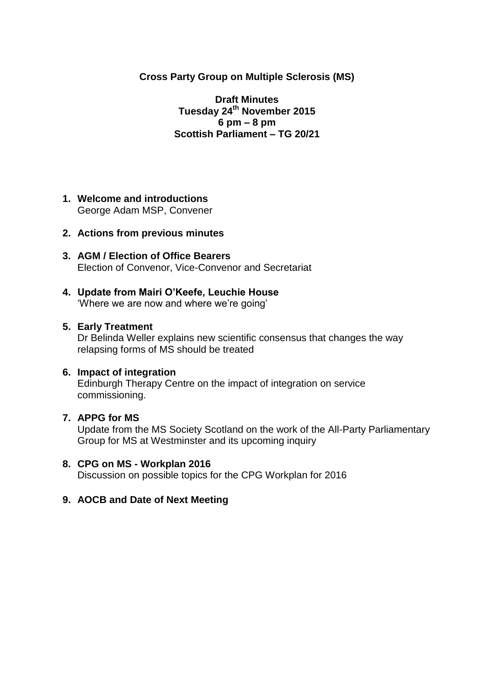## **Cross Party Group on Multiple Sclerosis (MS)**

**Draft Minutes Tuesday 24th November 2015 6 pm – 8 pm Scottish Parliament – TG 20/21**

**1. Welcome and introductions** George Adam MSP, Convener

### **2. Actions from previous minutes**

- **3. AGM / Election of Office Bearers** Election of Convenor, Vice-Convenor and Secretariat
- **4. Update from Mairi O'Keefe, Leuchie House** 'Where we are now and where we're going'

### **5. Early Treatment**

Dr Belinda Weller explains new scientific consensus that changes the way relapsing forms of MS should be treated

### **6. Impact of integration**

Edinburgh Therapy Centre on the impact of integration on service commissioning.

### **7. APPG for MS**

Update from the MS Society Scotland on the work of the All-Party Parliamentary Group for MS at Westminster and its upcoming inquiry

### **8. CPG on MS - Workplan 2016** Discussion on possible topics for the CPG Workplan for 2016

## **9. AOCB and Date of Next Meeting**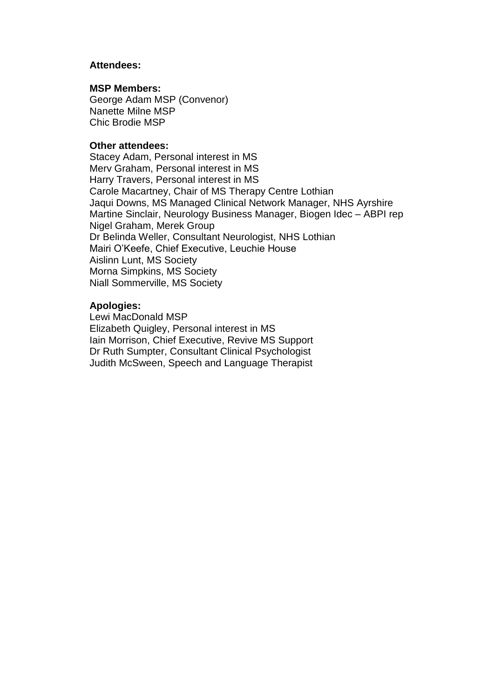### **Attendees:**

#### **MSP Members:**

George Adam MSP (Convenor) Nanette Milne MSP Chic Brodie MSP

#### **Other attendees:**

Stacey Adam, Personal interest in MS Merv Graham, Personal interest in MS Harry Travers, Personal interest in MS Carole Macartney, Chair of MS Therapy Centre Lothian Jaqui Downs, MS Managed Clinical Network Manager, NHS Ayrshire Martine Sinclair, Neurology Business Manager, Biogen Idec – ABPI rep Nigel Graham, Merek Group Dr Belinda Weller, Consultant Neurologist, NHS Lothian Mairi O'Keefe, Chief Executive, Leuchie House Aislinn Lunt, MS Society Morna Simpkins, MS Society Niall Sommerville, MS Society

### **Apologies:**

Lewi MacDonald MSP Elizabeth Quigley, Personal interest in MS Iain Morrison, Chief Executive, Revive MS Support Dr Ruth Sumpter, Consultant Clinical Psychologist Judith McSween, Speech and Language Therapist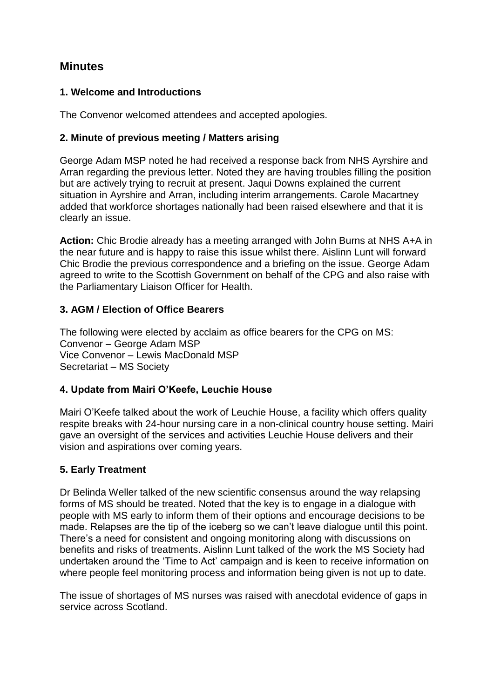# **Minutes**

# **1. Welcome and Introductions**

The Convenor welcomed attendees and accepted apologies.

## **2. Minute of previous meeting / Matters arising**

George Adam MSP noted he had received a response back from NHS Ayrshire and Arran regarding the previous letter. Noted they are having troubles filling the position but are actively trying to recruit at present. Jaqui Downs explained the current situation in Ayrshire and Arran, including interim arrangements. Carole Macartney added that workforce shortages nationally had been raised elsewhere and that it is clearly an issue.

**Action:** Chic Brodie already has a meeting arranged with John Burns at NHS A+A in the near future and is happy to raise this issue whilst there. Aislinn Lunt will forward Chic Brodie the previous correspondence and a briefing on the issue. George Adam agreed to write to the Scottish Government on behalf of the CPG and also raise with the Parliamentary Liaison Officer for Health.

# **3. AGM / Election of Office Bearers**

The following were elected by acclaim as office bearers for the CPG on MS: Convenor – George Adam MSP Vice Convenor – Lewis MacDonald MSP Secretariat – MS Society

## **4. Update from Mairi O'Keefe, Leuchie House**

Mairi O'Keefe talked about the work of Leuchie House, a facility which offers quality respite breaks with 24-hour nursing care in a non-clinical country house setting. Mairi gave an oversight of the services and activities Leuchie House delivers and their vision and aspirations over coming years.

## **5. Early Treatment**

Dr Belinda Weller talked of the new scientific consensus around the way relapsing forms of MS should be treated. Noted that the key is to engage in a dialogue with people with MS early to inform them of their options and encourage decisions to be made. Relapses are the tip of the iceberg so we can't leave dialogue until this point. There's a need for consistent and ongoing monitoring along with discussions on benefits and risks of treatments. Aislinn Lunt talked of the work the MS Society had undertaken around the 'Time to Act' campaign and is keen to receive information on where people feel monitoring process and information being given is not up to date.

The issue of shortages of MS nurses was raised with anecdotal evidence of gaps in service across Scotland.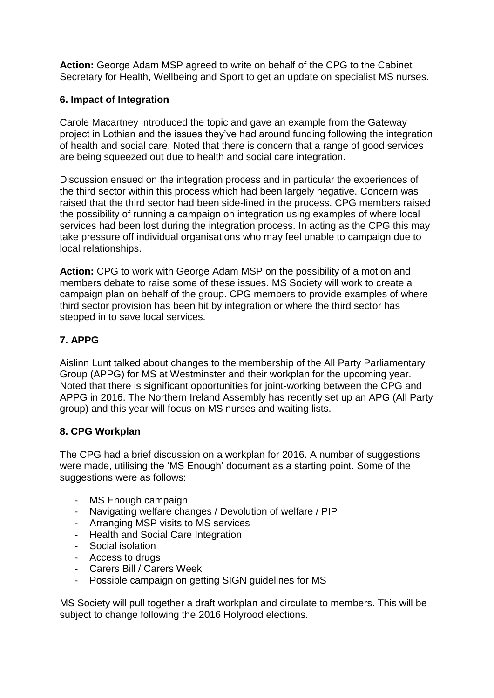**Action:** George Adam MSP agreed to write on behalf of the CPG to the Cabinet Secretary for Health, Wellbeing and Sport to get an update on specialist MS nurses.

## **6. Impact of Integration**

Carole Macartney introduced the topic and gave an example from the Gateway project in Lothian and the issues they've had around funding following the integration of health and social care. Noted that there is concern that a range of good services are being squeezed out due to health and social care integration.

Discussion ensued on the integration process and in particular the experiences of the third sector within this process which had been largely negative. Concern was raised that the third sector had been side-lined in the process. CPG members raised the possibility of running a campaign on integration using examples of where local services had been lost during the integration process. In acting as the CPG this may take pressure off individual organisations who may feel unable to campaign due to local relationships.

**Action:** CPG to work with George Adam MSP on the possibility of a motion and members debate to raise some of these issues. MS Society will work to create a campaign plan on behalf of the group. CPG members to provide examples of where third sector provision has been hit by integration or where the third sector has stepped in to save local services.

# **7. APPG**

Aislinn Lunt talked about changes to the membership of the All Party Parliamentary Group (APPG) for MS at Westminster and their workplan for the upcoming year. Noted that there is significant opportunities for joint-working between the CPG and APPG in 2016. The Northern Ireland Assembly has recently set up an APG (All Party group) and this year will focus on MS nurses and waiting lists.

## **8. CPG Workplan**

The CPG had a brief discussion on a workplan for 2016. A number of suggestions were made, utilising the 'MS Enough' document as a starting point. Some of the suggestions were as follows:

- MS Enough campaign
- Navigating welfare changes / Devolution of welfare / PIP
- Arranging MSP visits to MS services
- Health and Social Care Integration
- Social isolation
- Access to drugs
- Carers Bill / Carers Week
- Possible campaign on getting SIGN guidelines for MS

MS Society will pull together a draft workplan and circulate to members. This will be subject to change following the 2016 Holyrood elections.